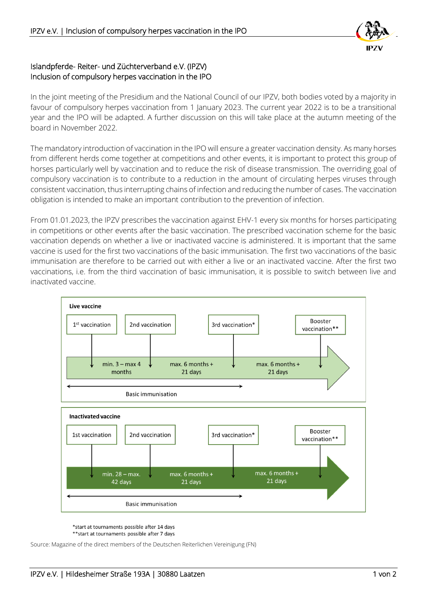

## Islandpferde- Reiter- und Züchterverband e.V. (IPZV) Inclusion of compulsory herpes vaccination in the IPO

In the joint meeting of the Presidium and the National Council of our IPZV, both bodies voted by a majority in favour of compulsory herpes vaccination from 1 January 2023. The current year 2022 is to be a transitional year and the IPO will be adapted. A further discussion on this will take place at the autumn meeting of the board in November 2022.

The mandatory introduction of vaccination in the IPO will ensure a greater vaccination density. As many horses from different herds come together at competitions and other events, it is important to protect this group of horses particularly well by vaccination and to reduce the risk of disease transmission. The overriding goal of compulsory vaccination is to contribute to a reduction in the amount of circulating herpes viruses through consistent vaccination, thus interrupting chains of infection and reducing the number of cases. The vaccination obligation is intended to make an important contribution to the prevention of infection.

From 01.01.2023, the IPZV prescribes the vaccination against EHV-1 every six months for horses participating in competitions or other events after the basic vaccination. The prescribed vaccination scheme for the basic vaccination depends on whether a live or inactivated vaccine is administered. It is important that the same vaccine is used for the first two vaccinations of the basic immunisation. The first two vaccinations of the basic immunisation are therefore to be carried out with either a live or an inactivated vaccine. After the first two vaccinations, i.e. from the third vaccination of basic immunisation, it is possible to switch between live and inactivated vaccine.



\*start at tournaments possible after 14 days \*\* start at tournaments possible after 7 days

Source: Magazine of the direct members of the Deutschen Reiterlichen Vereinigung (FN)